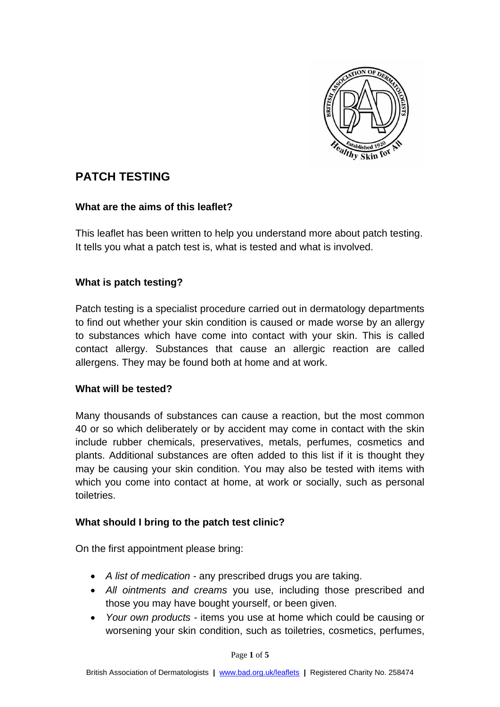

# **PATCH TESTING**

#### **What are the aims of this leaflet?**

This leaflet has been written to help you understand more about patch testing. It tells you what a patch test is, what is tested and what is involved.

### **What is patch testing?**

Patch testing is a specialist procedure carried out in dermatology departments to find out whether your skin condition is caused or made worse by an allergy to substances which have come into contact with your skin. This is called contact allergy. Substances that cause an allergic reaction are called allergens. They may be found both at home and at work.

#### **What will be tested?**

Many thousands of substances can cause a reaction, but the most common 40 or so which deliberately or by accident may come in contact with the skin include rubber chemicals, preservatives, metals, perfumes, cosmetics and plants. Additional substances are often added to this list if it is thought they may be causing your skin condition. You may also be tested with items with which you come into contact at home, at work or socially, such as personal toiletries.

#### **What should I bring to the patch test clinic?**

On the first appointment please bring:

- *A list of medication -* any prescribed drugs you are taking.
- *All ointments and creams* you use, including those prescribed and those you may have bought yourself, or been given.
- *Your own products -* items you use at home which could be causing or worsening your skin condition, such as toiletries, cosmetics, perfumes,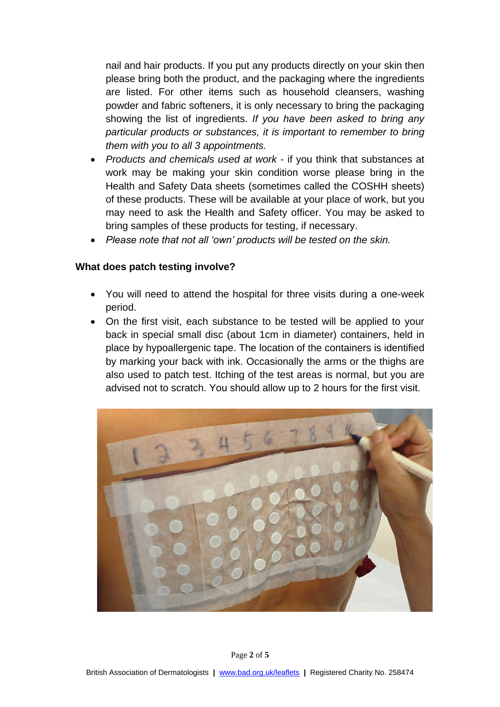nail and hair products. If you put any products directly on your skin then please bring both the product, and the packaging where the ingredients are listed. For other items such as household cleansers, washing powder and fabric softeners, it is only necessary to bring the packaging showing the list of ingredients. *If you have been asked to bring any particular products or substances, it is important to remember to bring them with you to all 3 appointments.*

- *Products and chemicals used at work -* if you think that substances at work may be making your skin condition worse please bring in the Health and Safety Data sheets (sometimes called the COSHH sheets) of these products. These will be available at your place of work, but you may need to ask the Health and Safety officer. You may be asked to bring samples of these products for testing, if necessary.
- *Please note that not all 'own' products will be tested on the skin.*

#### **What does patch testing involve?**

- You will need to attend the hospital for three visits during a one-week period.
- On the first visit, each substance to be tested will be applied to your back in special small disc (about 1cm in diameter) containers, held in place by hypoallergenic tape. The location of the containers is identified by marking your back with ink. Occasionally the arms or the thighs are also used to patch test. Itching of the test areas is normal, but you are advised not to scratch. You should allow up to 2 hours for the first visit.

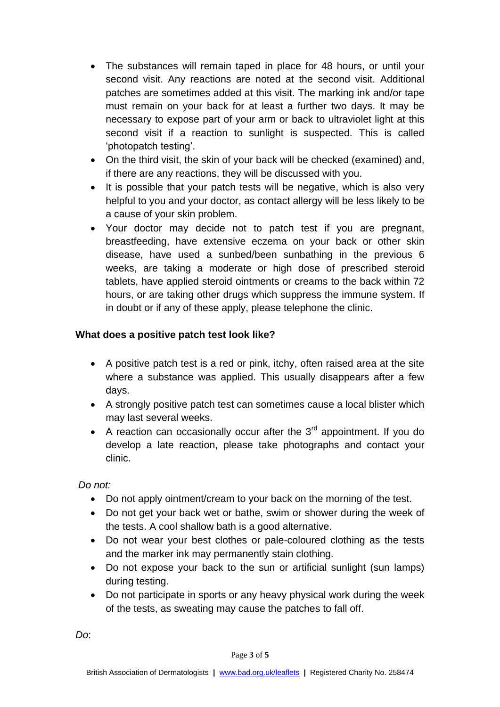- The substances will remain taped in place for 48 hours, or until your second visit. Any reactions are noted at the second visit. Additional patches are sometimes added at this visit. The marking ink and/or tape must remain on your back for at least a further two days. It may be necessary to expose part of your arm or back to ultraviolet light at this second visit if a reaction to sunlight is suspected. This is called 'photopatch testing'.
- On the third visit, the skin of your back will be checked (examined) and, if there are any reactions, they will be discussed with you.
- It is possible that your patch tests will be negative, which is also very helpful to you and your doctor, as contact allergy will be less likely to be a cause of your skin problem.
- Your doctor may decide not to patch test if you are pregnant, breastfeeding, have extensive eczema on your back or other skin disease, have used a sunbed/been sunbathing in the previous 6 weeks, are taking a moderate or high dose of prescribed steroid tablets, have applied steroid ointments or creams to the back within 72 hours, or are taking other drugs which suppress the immune system. If in doubt or if any of these apply, please telephone the clinic.

### **What does a positive patch test look like?**

- A positive patch test is a red or pink, itchy, often raised area at the site where a substance was applied. This usually disappears after a few days.
- A strongly positive patch test can sometimes cause a local blister which may last several weeks.
- A reaction can occasionally occur after the  $3<sup>rd</sup>$  appointment. If you do develop a late reaction, please take photographs and contact your clinic.

*Do not:* 

- Do not apply ointment/cream to your back on the morning of the test.
- Do not get your back wet or bathe, swim or shower during the week of the tests. A cool shallow bath is a good alternative.
- Do not wear your best clothes or pale-coloured clothing as the tests and the marker ink may permanently stain clothing.
- Do not expose your back to the sun or artificial sunlight (sun lamps) during testing.
- Do not participate in sports or any heavy physical work during the week of the tests, as sweating may cause the patches to fall off.

*Do*: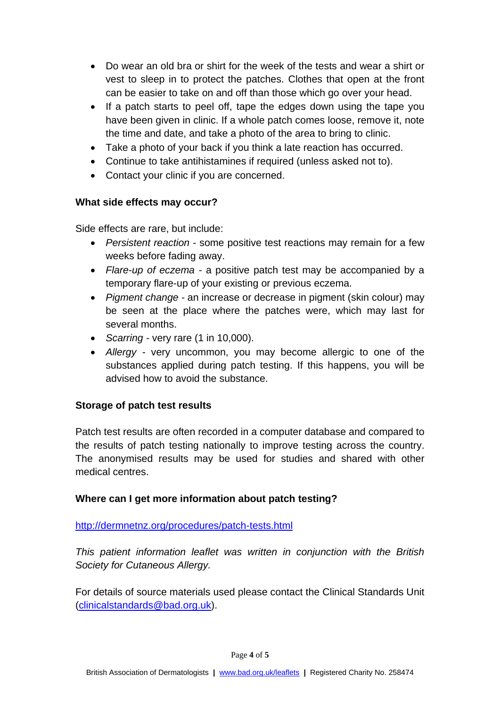- Do wear an old bra or shirt for the week of the tests and wear a shirt or vest to sleep in to protect the patches. Clothes that open at the front can be easier to take on and off than those which go over your head.
- If a patch starts to peel off, tape the edges down using the tape you have been given in clinic. If a whole patch comes loose, remove it, note the time and date, and take a photo of the area to bring to clinic.
- Take a photo of your back if you think a late reaction has occurred.
- Continue to take antihistamines if required (unless asked not to).
- Contact your clinic if you are concerned.

# **What side effects may occur?**

Side effects are rare, but include:

- *Persistent reaction -* some positive test reactions may remain for a few weeks before fading away.
- *Flare-up of eczema -* a positive patch test may be accompanied by a temporary flare-up of your existing or previous eczema.
- *Pigment change -* an increase or decrease in pigment (skin colour) may be seen at the place where the patches were, which may last for several months.
- *Scarring -* very rare (1 in 10,000).
- *Allergy -* very uncommon, you may become allergic to one of the substances applied during patch testing. If this happens, you will be advised how to avoid the substance.

# **Storage of patch test results**

Patch test results are often recorded in a computer database and compared to the results of patch testing nationally to improve testing across the country. The anonymised results may be used for studies and shared with other medical centres.

# **Where can I get more information about patch testing?**

<http://dermnetnz.org/procedures/patch-tests.html>

*This patient information leaflet was written in conjunction with the British Society for Cutaneous Allergy.*

For details of source materials used please contact the Clinical Standards Unit [\(clinicalstandards@bad.org.uk\)](mailto:clinicalstandards@bad.org.uk).